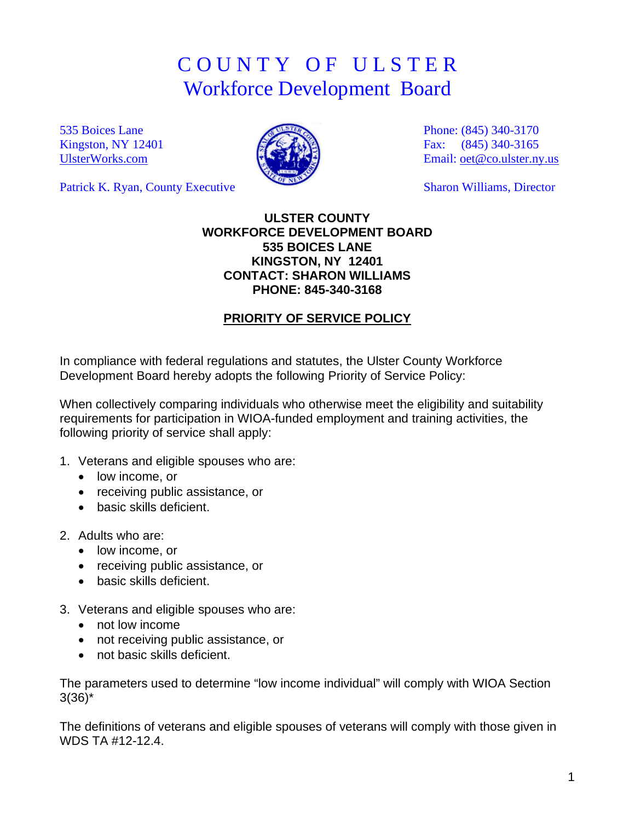## C O U N T Y O F U L S T E R Workforce Development Board

535 Boices Lane Kingston, NY 12401 [UlsterWorks.com](http://www.ulsterworks.com/)

Patrick K. Ryan, County Executive



Phone: (845) 340-3170 Fax: (845) 340-3165 Email: [oet@co.ulster.ny.us](mailto:oet@co.ulster.ny.us)

Sharon Williams, Director

## **ULSTER COUNTY WORKFORCE DEVELOPMENT BOARD 535 BOICES LANE KINGSTON, NY 12401 CONTACT: SHARON WILLIAMS PHONE: 845-340-3168**

## **PRIORITY OF SERVICE POLICY**

In compliance with federal regulations and statutes, the Ulster County Workforce Development Board hereby adopts the following Priority of Service Policy:

When collectively comparing individuals who otherwise meet the eligibility and suitability requirements for participation in WIOA-funded employment and training activities, the following priority of service shall apply:

- 1. Veterans and eligible spouses who are:
	- low income, or
	- receiving public assistance, or
	- basic skills deficient.
- 2. Adults who are:
	- low income, or
	- receiving public assistance, or
	- basic skills deficient.
- 3. Veterans and eligible spouses who are:
	- not low income
	- not receiving public assistance, or
	- not basic skills deficient.

The parameters used to determine "low income individual" will comply with WIOA Section  $3(36)^{*}$ 

The definitions of veterans and eligible spouses of veterans will comply with those given in WDS TA #12-12.4.